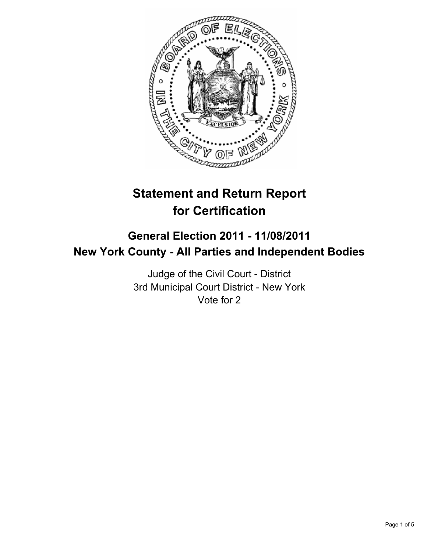

# **Statement and Return Report for Certification**

## **General Election 2011 - 11/08/2011 New York County - All Parties and Independent Bodies**

Judge of the Civil Court - District 3rd Municipal Court District - New York Vote for 2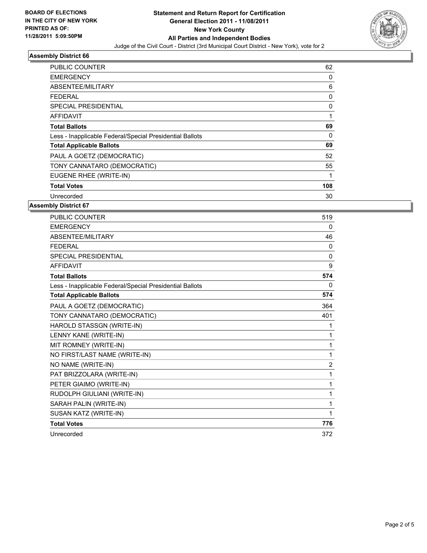

## **Assembly District 66**

| PUBLIC COUNTER                                           | 62  |
|----------------------------------------------------------|-----|
| <b>EMERGENCY</b>                                         | 0   |
| ABSENTEE/MILITARY                                        | 6   |
| FEDERAL                                                  | 0   |
| <b>SPECIAL PRESIDENTIAL</b>                              | 0   |
| AFFIDAVIT                                                | 1   |
| <b>Total Ballots</b>                                     | 69  |
| Less - Inapplicable Federal/Special Presidential Ballots | 0   |
| <b>Total Applicable Ballots</b>                          | 69  |
| PAUL A GOETZ (DEMOCRATIC)                                | 52  |
| TONY CANNATARO (DEMOCRATIC)                              | 55  |
| EUGENE RHEE (WRITE-IN)                                   | 1   |
| <b>Total Votes</b>                                       | 108 |
| Unrecorded                                               | 30  |

## **Assembly District 67**

| <b>PUBLIC COUNTER</b>                                    | 519            |
|----------------------------------------------------------|----------------|
| <b>EMERGENCY</b>                                         | 0              |
| ABSENTEE/MILITARY                                        | 46             |
| <b>FEDERAL</b>                                           | 0              |
| SPECIAL PRESIDENTIAL                                     | $\mathbf{0}$   |
| <b>AFFIDAVIT</b>                                         | 9              |
| <b>Total Ballots</b>                                     | 574            |
| Less - Inapplicable Federal/Special Presidential Ballots | 0              |
| <b>Total Applicable Ballots</b>                          | 574            |
| PAUL A GOETZ (DEMOCRATIC)                                | 364            |
| TONY CANNATARO (DEMOCRATIC)                              | 401            |
| HAROLD STASSGN (WRITE-IN)                                | 1              |
| LENNY KANE (WRITE-IN)                                    | 1              |
| MIT ROMNEY (WRITE-IN)                                    | 1              |
| NO FIRST/LAST NAME (WRITE-IN)                            | 1              |
| NO NAME (WRITE-IN)                                       | $\overline{2}$ |
| PAT BRIZZOLARA (WRITE-IN)                                | 1              |
| PETER GIAIMO (WRITE-IN)                                  | 1              |
| RUDOLPH GIULIANI (WRITE-IN)                              | 1              |
| SARAH PALIN (WRITE-IN)                                   | 1              |
| SUSAN KATZ (WRITE-IN)                                    | 1              |
| <b>Total Votes</b>                                       | 776            |
| Unrecorded                                               | 372            |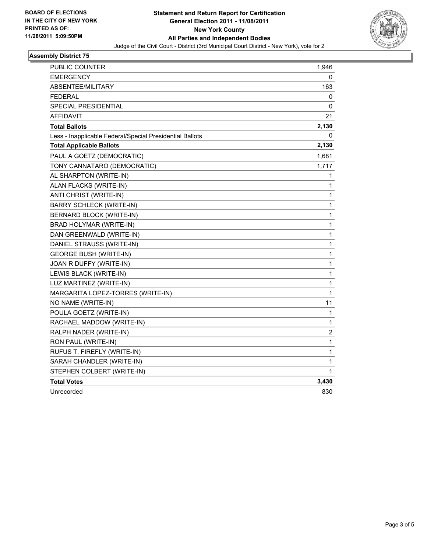

#### **Assembly District 75**

| PUBLIC COUNTER                                           | 1,946 |
|----------------------------------------------------------|-------|
| <b>EMERGENCY</b>                                         | 0     |
| ABSENTEE/MILITARY                                        | 163   |
| <b>FEDERAL</b>                                           | 0     |
| <b>SPECIAL PRESIDENTIAL</b>                              | 0     |
| <b>AFFIDAVIT</b>                                         | 21    |
| <b>Total Ballots</b>                                     | 2,130 |
| Less - Inapplicable Federal/Special Presidential Ballots | 0     |
| <b>Total Applicable Ballots</b>                          | 2,130 |
| PAUL A GOETZ (DEMOCRATIC)                                | 1,681 |
| TONY CANNATARO (DEMOCRATIC)                              | 1,717 |
| AL SHARPTON (WRITE-IN)                                   | 1     |
| ALAN FLACKS (WRITE-IN)                                   | 1     |
| ANTI CHRIST (WRITE-IN)                                   | 1     |
| <b>BARRY SCHLECK (WRITE-IN)</b>                          | 1     |
| BERNARD BLOCK (WRITE-IN)                                 | 1     |
| BRAD HOLYMAR (WRITE-IN)                                  | 1     |
| DAN GREENWALD (WRITE-IN)                                 | 1     |
| DANIEL STRAUSS (WRITE-IN)                                | 1     |
| <b>GEORGE BUSH (WRITE-IN)</b>                            | 1     |
| JOAN R DUFFY (WRITE-IN)                                  | 1     |
| LEWIS BLACK (WRITE-IN)                                   | 1     |
| LUZ MARTINEZ (WRITE-IN)                                  | 1     |
| MARGARITA LOPEZ-TORRES (WRITE-IN)                        | 1     |
| NO NAME (WRITE-IN)                                       | 11    |
| POULA GOETZ (WRITE-IN)                                   | 1     |
| RACHAEL MADDOW (WRITE-IN)                                | 1     |
| RALPH NADER (WRITE-IN)                                   | 2     |
| RON PAUL (WRITE-IN)                                      | 1     |
| RUFUS T. FIREFLY (WRITE-IN)                              | 1     |
| SARAH CHANDLER (WRITE-IN)                                | 1     |
| STEPHEN COLBERT (WRITE-IN)                               | 1     |
| <b>Total Votes</b>                                       | 3,430 |
| Unrecorded                                               | 830   |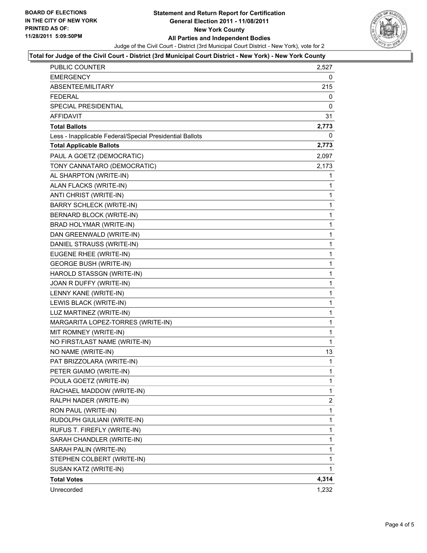

#### **Total for Judge of the Civil Court - District (3rd Municipal Court District - New York) - New York County**

| <b>PUBLIC COUNTER</b>                                    | 2,527       |
|----------------------------------------------------------|-------------|
| <b>EMERGENCY</b>                                         | 0           |
| ABSENTEE/MILITARY                                        | 215         |
| FEDERAL                                                  | 0           |
| SPECIAL PRESIDENTIAL                                     | 0           |
| AFFIDAVIT                                                | 31          |
| <b>Total Ballots</b>                                     | 2,773       |
| Less - Inapplicable Federal/Special Presidential Ballots | 0           |
| <b>Total Applicable Ballots</b>                          | 2,773       |
| PAUL A GOETZ (DEMOCRATIC)                                | 2,097       |
| TONY CANNATARO (DEMOCRATIC)                              | 2,173       |
| AL SHARPTON (WRITE-IN)                                   | 1           |
| ALAN FLACKS (WRITE-IN)                                   | 1           |
| ANTI CHRIST (WRITE-IN)                                   | 1           |
| <b>BARRY SCHLECK (WRITE-IN)</b>                          | 1           |
| BERNARD BLOCK (WRITE-IN)                                 | 1           |
| BRAD HOLYMAR (WRITE-IN)                                  | 1           |
| DAN GREENWALD (WRITE-IN)                                 | 1           |
| DANIEL STRAUSS (WRITE-IN)                                | 1           |
| EUGENE RHEE (WRITE-IN)                                   | 1           |
| <b>GEORGE BUSH (WRITE-IN)</b>                            | 1           |
| HAROLD STASSGN (WRITE-IN)                                | 1           |
| JOAN R DUFFY (WRITE-IN)                                  | 1           |
| LENNY KANE (WRITE-IN)                                    | 1           |
| LEWIS BLACK (WRITE-IN)                                   | 1           |
| LUZ MARTINEZ (WRITE-IN)                                  | 1           |
| MARGARITA LOPEZ-TORRES (WRITE-IN)                        | 1           |
| MIT ROMNEY (WRITE-IN)                                    | 1           |
| NO FIRST/LAST NAME (WRITE-IN)                            | 1           |
| NO NAME (WRITE-IN)                                       | 13          |
| PAT BRIZZOLARA (WRITE-IN)                                | 1           |
| PETER GIAIMO (WRITE-IN)                                  | 1           |
| POULA GOETZ (WRITE-IN)                                   | $\mathbf 1$ |
| RACHAEL MADDOW (WRITE-IN)                                | 1           |
| RALPH NADER (WRITE-IN)                                   | 2           |
| RON PAUL (WRITE-IN)                                      | 1           |
| RUDOLPH GIULIANI (WRITE-IN)                              | 1           |
| RUFUS T. FIREFLY (WRITE-IN)                              | 1           |
| SARAH CHANDLER (WRITE-IN)                                | 1           |
| SARAH PALIN (WRITE-IN)                                   | 1           |
| STEPHEN COLBERT (WRITE-IN)                               | 1           |
| SUSAN KATZ (WRITE-IN)                                    | 1           |
| <b>Total Votes</b>                                       | 4,314       |
| Unrecorded                                               | 1,232       |